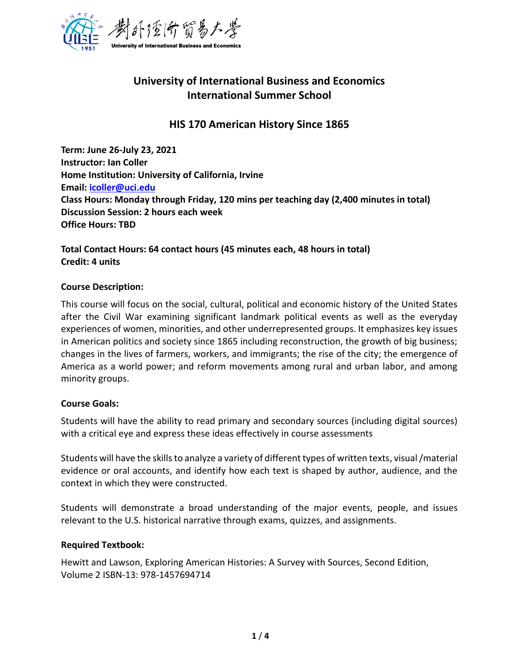

# **University of International Business and Economics International Summer School**

## **HIS 170 American History Since 1865**

**Term: June 26-July 23, 2021 Instructor: Ian Coller Home Institution: University of California, Irvine Email: [icoller@uci.edu](mailto:icoller@uci.edu) Class Hours: Monday through Friday, 120 mins per teaching day (2,400 minutes in total) Discussion Session: 2 hours each week Office Hours: TBD**

## **Total Contact Hours: 64 contact hours (45 minutes each, 48 hours in total) Credit: 4 units**

### **Course Description:**

This course will focus on the social, cultural, political and economic history of the United States after the Civil War examining significant landmark political events as well as the everyday experiences of women, minorities, and other underrepresented groups. It emphasizes key issues in American politics and society since 1865 including reconstruction, the growth of big business; changes in the lives of farmers, workers, and immigrants; the rise of the city; the emergence of America as a world power; and reform movements among rural and urban labor, and among minority groups.

### **Course Goals:**

Students will have the ability to read primary and secondary sources (including digital sources) with a critical eye and express these ideas effectively in course assessments

Students will have the skills to analyze a variety of different types of written texts, visual /material evidence or oral accounts, and identify how each text is shaped by author, audience, and the context in which they were constructed.

Students will demonstrate a broad understanding of the major events, people, and issues relevant to the U.S. historical narrative through exams, quizzes, and assignments.

### **Required Textbook:**

Hewitt and Lawson, Exploring American Histories: A Survey with Sources, Second Edition, Volume 2 ISBN-13: 978-1457694714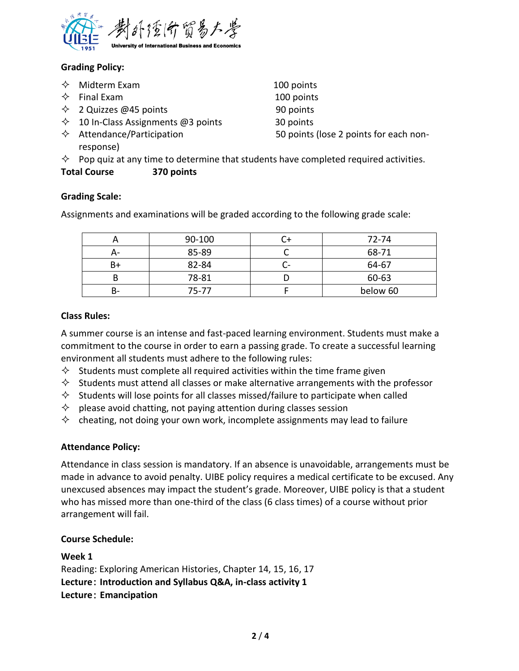

## **Grading Policy:**

- $\Diamond$  Midterm Exam 100 points
- $\Diamond$  Final Exam 100 points
- $\Diamond$  2 Quizzes @45 points 90 points
- $\div$  10 In-Class Assignments @3 points 30 points
- response)

 $\Diamond$  Attendance/Participation 50 points (lose 2 points for each non-

 $\diamond$  Pop quiz at any time to determine that students have completed required activities.

## **Total Course 370 points**

## **Grading Scale:**

Assignments and examinations will be graded according to the following grade scale:

|    | 90-100    | 72-74    |
|----|-----------|----------|
|    | 85-89     | 68-71    |
| Β+ | 82-84     | 64-67    |
|    | 78-81     | 60-63    |
|    | $75 - 77$ | below 60 |

## **Class Rules:**

A summer course is an intense and fast-paced learning environment. Students must make a commitment to the course in order to earn a passing grade. To create a successful learning environment all students must adhere to the following rules:

- $\diamond$  Students must complete all required activities within the time frame given
- $\diamond$  Students must attend all classes or make alternative arrangements with the professor
- $\diamond$  Students will lose points for all classes missed/failure to participate when called
- $\Diamond$  please avoid chatting, not paying attention during classes session
- $\diamond$  cheating, not doing your own work, incomplete assignments may lead to failure

## **Attendance Policy:**

Attendance in class session is mandatory. If an absence is unavoidable, arrangements must be made in advance to avoid penalty. UIBE policy requires a medical certificate to be excused. Any unexcused absences may impact the student's grade. Moreover, UIBE policy is that a student who has missed more than one-third of the class (6 class times) of a course without prior arrangement will fail.

### **Course Schedule:**

### **Week 1**

Reading: Exploring American Histories, Chapter 14, 15, 16, 17 **Lecture**: **Introduction and Syllabus Q&A, in-class activity 1 Lecture**: **Emancipation**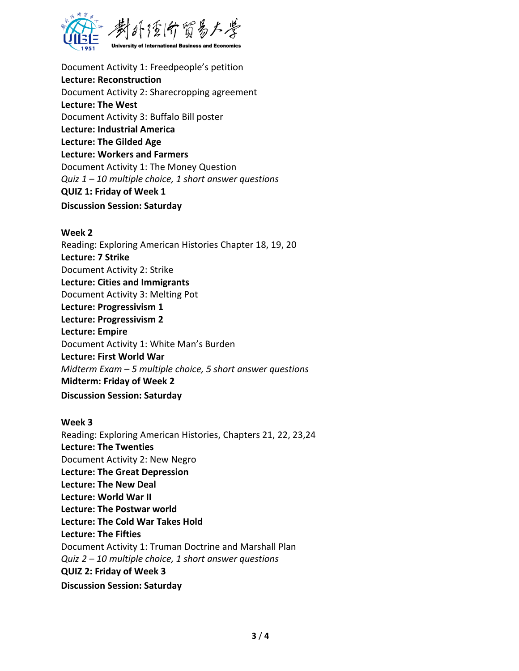

Document Activity 1: Freedpeople's petition **Lecture: Reconstruction** Document Activity 2: Sharecropping agreement **Lecture: The West** Document Activity 3: Buffalo Bill poster **Lecture: Industrial America Lecture: The Gilded Age Lecture: Workers and Farmers** Document Activity 1: The Money Question *Quiz 1 – 10 multiple choice, 1 short answer questions* **QUIZ 1: Friday of Week 1 Discussion Session: Saturday**

#### **Week 2**

Reading: Exploring American Histories Chapter 18, 19, 20 **Lecture: 7 Strike** Document Activity 2: Strike **Lecture: Cities and Immigrants** Document Activity 3: Melting Pot **Lecture: Progressivism 1 Lecture: Progressivism 2 Lecture: Empire**  Document Activity 1: White Man's Burden **Lecture: First World War**  *Midterm Exam – 5 multiple choice, 5 short answer questions* **Midterm: Friday of Week 2 Discussion Session: Saturday**

#### **Week 3**

Reading: Exploring American Histories, Chapters 21, 22, 23,24 **Lecture: The Twenties** Document Activity 2: New Negro **Lecture: The Great Depression Lecture: The New Deal Lecture: World War II Lecture: The Postwar world Lecture: The Cold War Takes Hold Lecture: The Fifties**  Document Activity 1: Truman Doctrine and Marshall Plan *Quiz 2 – 10 multiple choice, 1 short answer questions* **QUIZ 2: Friday of Week 3 Discussion Session: Saturday**